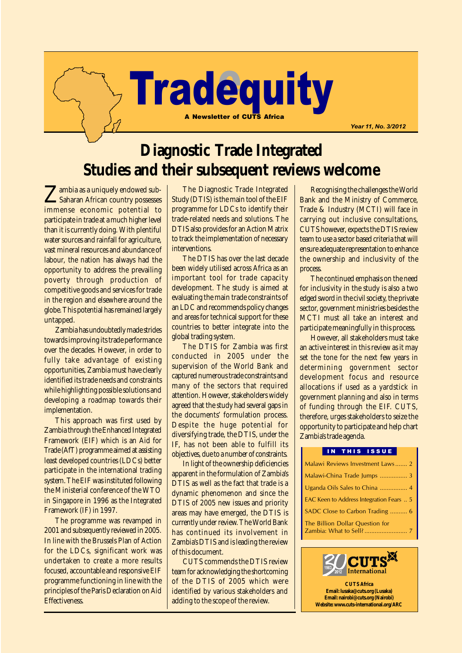# **Tradequity** A Newsletter of CUTS Africa

**Diagnostic Trade Integrated Studies and their subsequent reviews welcome**

Zambia as a uniquely endowed sub-Saharan African country possesses immense economic potential to participate in trade at a much higher level than it is currently doing. With plentiful water sources and rainfall for agriculture, vast mineral resources and abundance of labour, the nation has always had the opportunity to address the prevailing poverty through production of competitive goods and services for trade in the region and elsewhere around the globe. This potential has remained largely untapped.

Zambia has undoubtedly made strides towards improving its trade performance over the decades. However, in order to fully take advantage of existing opportunities, Zambia must have clearly identified its trade needs and constraints while highlighting possible solutions and developing a roadmap towards their implementation.

This approach was first used by Zambia through the Enhanced Integrated Framework (EIF) which is an Aid for Trade (AfT) programme aimed at assisting least developed countries (LDCs) better participate in the international trading system. The EIF was instituted following the Ministerial conference of the WTO in Singapore in 1996 as the Integrated Framework (IF) in 1997.

The programme was revamped in 2001 and subsequently reviewed in 2005. In line with the Brussels Plan of Action for the LDCs, significant work was undertaken to create a more results focused, accountable and responsive EIF programme functioning in line with the principles of the Paris Declaration on Aid Effectiveness.

The Diagnostic Trade Integrated Study (DTIS) is the main tool of the EIF programme for LDCs to identify their trade-related needs and solutions. The DTIS also provides for an Action Matrix to track the implementation of necessary interventions.

The DTIS has over the last decade been widely utilised across Africa as an important tool for trade capacity development. The study is aimed at evaluating the main trade constraints of an LDC and recommends policy changes and areas for technical support for these countries to better integrate into the global trading system.

The DTIS for Zambia was first conducted in 2005 under the supervision of the World Bank and captured numerous trade constraints and many of the sectors that required attention. However, stakeholders widely agreed that the study had several gaps in the documents' formulation process. Despite the huge potential for diversifying trade, the DTIS, under the IF, has not been able to fulfill its objectives, due to a number of constraints.

In light of the ownership deficiencies apparent in the formulation of Zambia's DTIS as well as the fact that trade is a dynamic phenomenon and since the DTIS of 2005 new issues and priority areas may have emerged, the DTIS is currently under review. The World Bank has continued its involvement in Zambia's DTIS and is leading the review of this document.

CUTS commends the DTIS review team for acknowledging the shortcoming of the DTIS of 2005 which were identified by various stakeholders and adding to the scope of the review.

Recognising the challenges the World Bank and the Ministry of Commerce, Trade & Industry (MCTI) will face in carrying out inclusive consultations, CUTS however, expects the DTIS review team to use a sector based criteria that will ensure adequate representation to enhance the ownership and inclusivity of the process.

Year 11, No. 3/2012

The continued emphasis on the need for inclusivity in the study is also a two edged sword in the civil society, the private sector, government ministries besides the MCTI must all take an interest and participate meaningfully in this process.

However, all stakeholders must take an active interest in this review as it may set the tone for the next few years in determining government sector development focus and resource allocations if used as a yardstick in government planning and also in terms of funding through the EIF. CUTS, therefore, urges stakeholders to seize the opportunity to participate and help chart Zambia's trade agenda.

#### IN THIS ISSUE

| Malawi Reviews Investment Laws 2         |
|------------------------------------------|
| Malawi-China Trade Jumps  3              |
|                                          |
| EAC Keen to Address Integration Fears  5 |
| SADC Close to Carbon Trading  6          |
| The Billion Dollar Question for          |

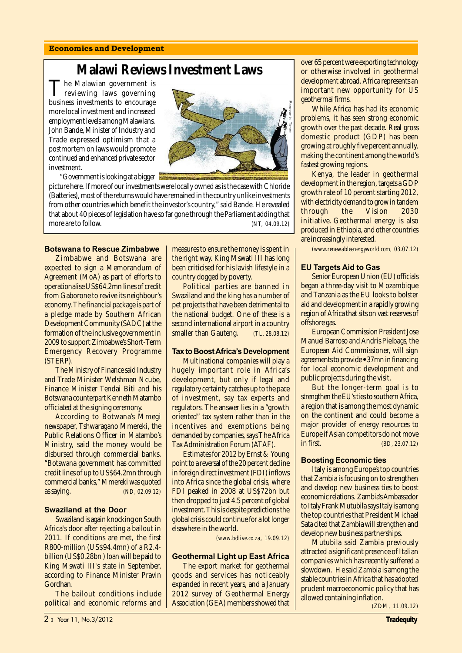#### Economics and Development

## **Malawi Reviews Investment Laws**

The Malawian government is reviewing laws governing business investments to encourage more local investment and increased employment levels among Malawians. John Bande, Minister of Industry and Trade expressed optimism that a postmortem on laws would promote continued and enhanced private sector investment.



"Government is looking at a bigger

picture here. If more of our investments were locally owned as is the case with Chloride (Batteries), most of the returns would have remained in the country unlike investments from other countries which benefit the investor's country," said Bande. He revealed that about 40 pieces of legislation have so far gone through the Parliament adding that business investments to encourage<br>
more local investment and increased<br>
employment levels among Malawians.<br>
John Bande, Minister of Industry and<br>
Trade expressed optimism that a<br>
postmortem on laws would promote<br>
continued

#### Botswana to Rescue Zimbabwe

Zimbabwe and Botswana are expected to sign a Memorandum of Agreement (MoA) as part of efforts to operationalise US\$64.2mn lines of credit from Gaborone to revive its neighbour's economy. The financial package is part of a pledge made by Southern African Development Community (SADC) at the formation of the inclusive government in 2009 to support Zimbabwe's Short-Term Emergency Recovery Programme (STERP).

The Ministry of Finance said Industry and Trade Minister Welshman Ncube, Finance Minister Tendai Biti and his Botswana counterpart Kenneth Matambo officiated at the signing ceremony.

According to Botwana's Mmegi newspaper, Tshwaragano Mmereki, the Public Relations Officer in Matambo's Ministry, said the money would be disbursed through commercial banks. "Botswana government has committed credit lines of up to US\$64.2mn through commercial banks," Mmereki was quoted as saying. *(ND, 02.09.12)*

#### Swaziland at the Door

Swaziland is again knocking on South Africa's door after rejecting a bailout in 2011. If conditions are met, the first R800-million (US\$94.4mn) of a R2.4 billion (US\$0.28bn ) loan will be paid to King Mswati III's state in September, according to Finance Minister Pravin Gordhan.

The bailout conditions include political and economic reforms and measures to ensure the money is spent in the right way. King Mswati III has long been criticised for his lavish lifestyle in a country dogged by poverty.

Political parties are banned in Swaziland and the king has a number of pet projects that have been detrimental to the national budget. One of these is a second international airport in a country smaller than Gauteng. *(TL, 28.08.12)*

#### **Tax to Boost Africa's Development**

Multinational companies will play a hugely important role in Africa's development, but only if legal and regulatory certainty catches up to the pace of investment, say tax experts and regulators. The answer lies in a "growth oriented" tax system rather than in the incentives and exemptions being demanded by companies, says The Africa Tax Administration Forum (ATAF).

Estimates for 2012 by Ernst & Young point to a reversal of the 20 percent decline in foreign direct investment (FDI) inflows into Africa since the global crisis, where FDI peaked in 2008 at US\$72bn but then dropped to just 4.5 percent of global investment. This is despite predictions the global crisis could continue for a lot longer elsewhere in the world.

 *(www.bdlive.co.za, 19.09.12)*

#### Geothermal Light up East Africa

The export market for geothermal goods and services has noticeably expanded in recent years, and a January 2012 survey of Geothermal Energy Association (GEA) members showed that

over 65 percent were exporting technology or otherwise involved in geothermal development abroad. Africa represents an important new opportunity for US geothermal firms.

While Africa has had its economic problems, it has seen strong economic growth over the past decade. Real gross domestic product (GDP) has been growing at roughly five percent annually, making the continent among the world's fastest growing regions.

Kenya, the leader in geothermal development in the region, targets a GDP growth rate of 10 percent starting 2012, with electricity demand to grow in tandem through the Vision 2030 initiative. Geothermal energy is also produced in Ethiopia, and other countries are increasingly interested.

*(www.renewableenergyworld.com, 03.07.12)*

#### EU Targets Aid to Gas

Senior European Union (EU) officials began a three-day visit to Mozambique and Tanzania as the EU looks to bolster aid and development in a rapidly growing region of Africa that sits on vast reserves of offshore gas.

European Commission President Jose Manuel Barroso and Andris Pielbags, the European Aid Commissioner, will sign agreements to provide • 37mn in financing for local economic development and public projects during the visit.

But the longer-term goal is to strengthen the EU's ties to southern Africa, a region that is among the most dynamic on the continent and could become a major provider of energy resources to Europe if Asian competitors do not move in first. *(BD, 23.07.12)*

#### Boosting Economic ties

Italy is among Europe's top countries that Zambia is focusing on to strengthen and develop new business ties to boost economic relations. Zambia's Ambassador to Italy Frank Mutubila says Italy is among the top countries that President Michael Sata cited that Zambia will strengthen and develop new business partnerships.

Mutubila said Zambia previously attracted a significant presence of Italian companies which has recently suffered a slowdown. He said Zambia is among the stable countries in Africa that has adopted prudent macroeconomic policy that has allowed containing inflation.

 *(ZDM, 11.09.12)*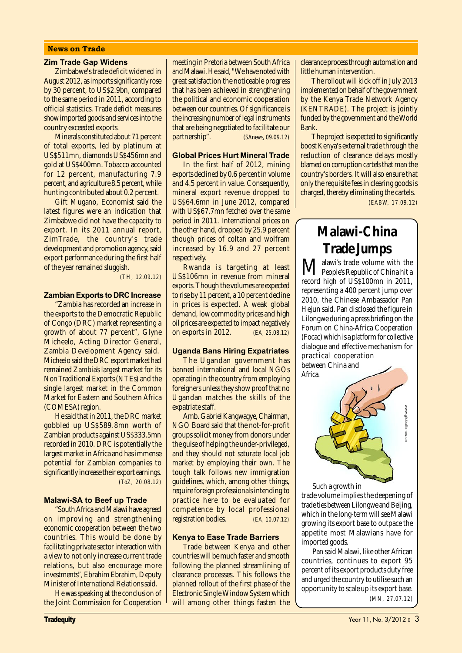#### News on Trade

#### Zim Trade Gap Widens

Zimbabwe's trade deficit widened in August 2012, as imports significantly rose by 30 percent, to US\$2.9bn, compared to the same period in 2011, according to official statistics. Trade deficit measures show imported goods and services into the country exceeded exports.

Minerals constituted about 71 percent of total exports, led by platinum at US\$511mn, diamonds US\$456mn and gold at US\$400mn. Tobacco accounted for 12 percent, manufacturing 7.9 percent, and agriculture 8.5 percent, while hunting contributed about 0.2 percent.

Gift Mugano, Economist said the latest figures were an indication that Zimbabwe did not have the capacity to export. In its 2011 annual report, ZimTrade, the country's trade development and promotion agency, said export performance during the first half of the year remained sluggish.

*(TH, 12.09.12)*

#### Zambian Exports to DRC Increase

"Zambia has recorded an increase in the exports to the Democratic Republic of Congo (DRC) market representing a growth of about 77 percent", Glyne Micheelo, Acting Director General, Zambia Development Agency said. Micheelo said the DRC export market had remained Zambia's largest market for its Non Traditional Exports (NTEs) and the single largest market in the Common Market for Eastern and Southern Africa (COMESA) region.

He said that in 2011, the DRC market gobbled up US\$589.8mn worth of Zambian products against US\$333.5mn recorded in 2010. DRC is potentially the largest market in Africa and has immense potential for Zambian companies to significantly increase their export earnings. *(ToZ, 20.08.12)*

#### Malawi-SA to Beef up Trade

"South Africa and Malawi have agreed on improving and strengthening economic cooperation between the two countries. This would be done by facilitating private sector interaction with a view to not only increase current trade relations, but also encourage more investments", Ebrahim Ebrahim, Deputy Minister of International Relations said.

He was speaking at the conclusion of the Joint Commission for Cooperation meeting in Pretoria between South Africa and Malawi. He said, "We have noted with great satisfaction the noticeable progress that has been achieved in strengthening the political and economic cooperation between our countries. Of significance is the increasing number of legal instruments that are being negotiated to facilitate our partnership". *(SAnews, 09.09.12)*

#### Global Prices Hurt Mineral Trade

In the first half of 2012, mining exports declined by 0.6 percent in volume and 4.5 percent in value. Consequently, mineral export revenue dropped to US\$64.6mn in June 2012, compared with US\$67.7mn fetched over the same period in 2011. International prices on the other hand, dropped by 25.9 percent though prices of coltan and wolfram increased by 16.9 and 27 percent respectively.

Rwanda is targeting at least US\$106mn in revenue from mineral exports. Though the volumes are expected to rise by 11 percent, a 10 percent decline in prices is expected. A weak global demand, low commodity prices and high oil prices are expected to impact negatively on exports in 2012. *(EA, 25.08.12)*

#### Uganda Bans Hiring Expatriates

The Ugandan government has banned international and local NGOs operating in the country from employing foreigners unless they show proof that no Ugandan matches the skills of the expatriate staff.

Amb. Gabriel Kangwagye, Chairman, NGO Board said that the not-for-profit groups solicit money from donors under the guise of helping the under-privileged, and they should not saturate local job market by employing their own. The tough talk follows new immigration guidelines, which, among other things, require foreign professionals intending to practice here to be evaluated for competence by local professional registration bodies. *(EA, 10.07.12)*

#### Kenya to Ease Trade Barriers

Trade between Kenya and other countries will be much faster and smooth following the planned streamlining of clearance processes. This follows the planned rollout of the first phase of the Electronic Single Window System which will among other things fasten the clearance process through automation and little human intervention.

The rollout will kick off in July 2013 implemented on behalf of the government by the Kenya Trade Network Agency (KENTRADE). The project is jointly funded by the government and the World Bank.

The project is expected to significantly boost Kenya's external trade through the reduction of clearance delays mostly blamed on corruption cartels that man the country's borders. It will also ensure that only the requisite fees in clearing goods is charged, thereby eliminating the cartels.

*(EABW, 17.09.12)*

## **Malawi-China Trade Jumps**

**M** alawi's trade volume with the<br>People's Republic of China hit a record high of US\$100mn in 2011, representing a 400 percent jump over 2010, the Chinese Ambassador Pan Hejun said. Pan disclosed the figure in Lilongwe during a press briefing on the Forum on China-Africa Cooperation (Focac) which is a platform for collective dialogue and effective mechanism for practical cooperation between China and Africa.



Such a growth in trade volume implies the deepening of trade ties between Lilongwe and Beijing, which in the long-term will see Malawi growing its export base to outpace the appetite most Malawians have for imported goods.

Pan said Malawi, like other African countries, continues to export 95 percent of its export products duty free and urged the country to utilise such an opportunity to scale up its export base.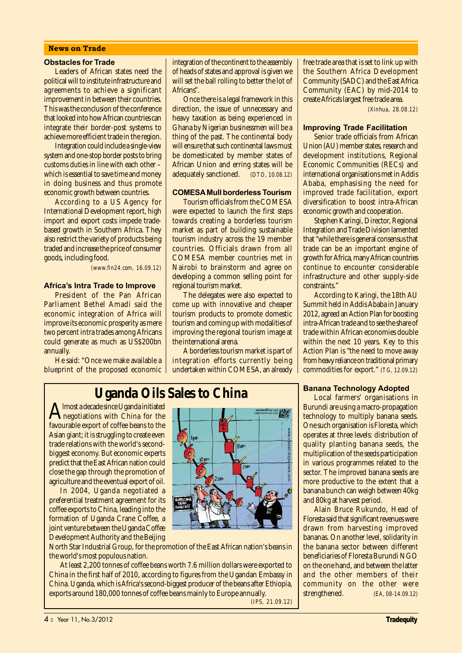#### News on Trade

#### Obstacles for Trade

Leaders of African states need the political will to institute infrastructure and agreements to achieve a significant improvement in between their countries. This was the conclusion of the conference that looked into how African countries can integrate their border-post systems to achieve more efficient trade in the region.

Integration could include a single-view system and one-stop border posts to bring customs duties in line with each other – which is essential to save time and money in doing business and thus promote economic growth between countries.

According to a US Agency for International Development report, high import and export costs impede tradebased growth in Southern Africa. They also restrict the variety of products being traded and increase the price of consumer goods, including food.

 *(www.fin24.com, 16.09.12)*

#### Africa's Intra Trade to Improve

President of the Pan African Parliament Bethel Amadi said the economic integration of Africa will improve its economic prosperity as mere two percent intra trades among Africans could generate as much as US\$200bn annually.

He said: "Once we make available a blueprint of the proposed economic integration of the continent to the assembly of heads of states and approval is given we will set the ball rolling to better the lot of Africans".

Once there is a legal framework in this direction, the issue of unnecessary and heavy taxation as being experienced in Ghana by Nigerian businessmen will be a thing of the past. The continental body will ensure that such continental laws must be domesticated by member states of African Union and erring states will be adequately sanctioned. *(DTO, 10.08.12)*

#### COMESAMull borderless Tourism

Tourism officials from the COMESA were expected to launch the first steps towards creating a borderless tourism market as part of building sustainable tourism industry across the 19 member countries. Officials drawn from all COMESA member countries met in Nairobi to brainstorm and agree on developing a common selling point for regional tourism market.

The delegates were also expected to come up with innovative and cheaper tourism products to promote domestic tourism and coming up with modalities of improving the regional tourism image at the international arena.

A borderless tourism market is part of integration efforts currently being undertaken within COMESA, an already

free trade area that is set to link up with the Southern Africa Development Community (SADC) and the East Africa Community (EAC) by mid-2014 to create Africa's largest free trade area.

*(Xinhua, 28.08.12)*

#### Improving Trade Facilitation

Senior trade officials from African Union (AU) member states, research and development institutions, Regional Economic Communities (RECs) and international organisations met in Addis Ababa, emphasising the need for improved trade facilitation, export diversification to boost intra-African economic growth and cooperation.

Stephen Karingi, Director, Regional Integration and Trade Division lamented that "while there is general consensus that trade can be an important engine of growth for Africa, many African countries continue to encounter considerable infrastructure and other supply-side constraints."

According to Karingi, the 18th AU Summit held in Addis Ababa in January 2012, agreed an Action Plan for boosting intra-African trade and to see the share of trade within African economies double within the next 10 years. Key to this Action Plan is "the need to move away from heavy reliance on traditional primary commodities for export." *(TG, 12.09.12)*

Banana Technology Adopted Local farmers' organisations in Burundi are using a macro-propagation technology to multiply banana seeds. One such organisation is Floresta, which operates at three levels: distribution of quality planting banana seeds, the multiplication of the seeds participation in various programmes related to the sector. The improved banana seeds are more productive to the extent that a banana bunch can weigh between 40kg

and 80kg at harvest period.

Alain Bruce Rukundo, Head of Floresta said that significant revenues were drawn from harvesting improved bananas. On another level, solidarity in the banana sector between different beneficiaries of Floresta Burundi NGO on the one hand, and between the latter and the other members of their community on the other were strengthened. *(EA, 08-14.09.12)*

## **Uganda Oils Sales to China**

Almost a decade since Uganda initiated<br>negotiations with China for the<br>formulations of a formulation favourable export of coffee beans to the Asian giant; it is struggling to create even trade relations with the world's secondbiggest economy. But economic experts predict that the East African nation could close the gap through the promotion of agriculture and the eventual export of oil.

In 2004, Uganda negotiated a preferential treatment agreement for its coffee exports to China, leading into the formation of Uganda Crane Coffee, a joint venture between the Uganda Coffee Development Authority and the Beijing

North Star Industrial Group, for the promotion of the East African nation's beans in the world's most populous nation.

At least 2,200 tonnes of coffee beans worth 7.6 million dollars were exported to China in the first half of 2010, according to figures from the Ugandan Embassy in China. Uganda, which is Africa's second-biggest producer of the beans after Ethiopia, exports around 180,000 tonnes of coffee beans mainly to Europe annually.<br>(IPS. 21.09.12)

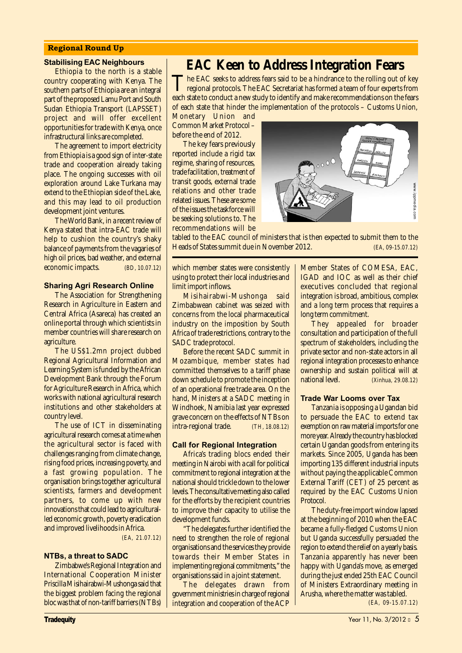#### Regional Round Up

#### Stabilising EAC Neighbours

Ethiopia to the north is a stable country cooperating with Kenya. The southern parts of Ethiopia are an integral part of the proposed Lamu Port and South Sudan Ethiopia Transport (LAPSSET) project and will offer excellent opportunities for trade with Kenya, once infrastructural links are completed.

The agreement to import electricity from Ethiopia is a good sign of inter-state trade and cooperation already taking place. The ongoing successes with oil exploration around Lake Turkana may extend to the Ethiopian side of the Lake, and this may lead to oil production development joint ventures.

The World Bank, in a recent review of Kenya stated that intra-EAC trade will help to cushion the country's shaky balance of payments from the vagaries of high oil prices, bad weather, and external economic impacts. *(BD, 10.07.12)*

#### Sharing Agri Research Online

The Association for Strengthening Research in Agriculture in Eastern and Central Africa (Asareca) has created an online portal through which scientists in member countries will share research on agriculture.

The US\$1.2mn project dubbed Regional Agricultural Information and Learning System is funded by the African Development Bank through the Forum for Agriculture Research in Africa, which works with national agricultural research institutions and other stakeholders at country level.

The use of ICT in disseminating agricultural research comes at a time when the agricultural sector is faced with challenges ranging from climate change, rising food prices, increasing poverty, and a fast growing population. The organisation brings together agricultural scientists, farmers and development partners, to come up with new innovations that could lead to agriculturalled economic growth, poverty eradication and improved livelihoods in Africa.

 *(EA, 21.07.12)*

#### NTBs, a threat to SADC

Zimbabwe's Regional Integration and International Cooperation Minister Priscilla Misihairabwi-Mushonga said that the biggest problem facing the regional bloc was that of non-tariff barriers (NTBs)

## **EAC Keen to Address Integration Fears**

The EAC seeks to address fears said to be a hindrance to the rolling out of key<br>regional protocols. The EAC Secretariat has formed a team of four experts from each state to conduct a new study to identify and make recommendations on the fears of each state that hinder the implementation of the protocols – Customs Union,

Monetary Union and Common Market Protocol – before the end of 2012.

The key fears previously reported include a rigid tax regime, sharing of resources, trade facilitation, treatment of transit goods, external trade relations and other trade related issues. These are some of the issues the taskforce will be seeking solutions to. The recommendations will be



tabled to the EAC council of ministers that is then expected to submit them to the

which member states were consistently using to protect their local industries and limit import inflows.

Misihairabwi-Mushonga said Zimbabwean cabinet was seized with concerns from the local pharmaceutical industry on the imposition by South Africa of trade restrictions, contrary to the SADC trade protocol.

Before the recent SADC summit in Mozambique, member states had committed themselves to a tariff phase down schedule to promote the inception of an operational free trade area. On the hand, Ministers at a SADC meeting in Windhoek, Namibia last year expressed grave concern on the effects of NTBs on intra-regional trade. *(TH, 18.08.12)*

#### Call for Regional Integration

Africa's trading blocs ended their meeting in Nairobi with a call for political commitment to regional integration at the national should trickle down to the lower levels. The consultative meeting also called for the efforts by the recipient countries to improve their capacity to utilise the development funds.

"The delegates further identified the need to strengthen the role of regional organisations and the services they provide towards their Member States in implementing regional commitments," the organisations said in a joint statement.

The delegates drawn from government ministries in charge of regional integration and cooperation of the ACP Member States of COMESA, EAC, IGAD and IOC as well as their chief executives concluded that regional integration is broad, ambitious, complex and a long term process that requires a long term commitment.

They appealed for broader consultation and participation of the full spectrum of stakeholders, including the private sector and non-state actors in all regional integration processes to enhance ownership and sustain political will at national level. *(Xinhua, 29.08.12)*

#### Trade War Looms over Tax

Tanzania is opposing a Ugandan bid to persuade the EAC to extend tax exemption on raw material imports for one more year. Already the country has blocked certain Ugandan goods from entering its markets. Since 2005, Uganda has been importing 135 different industrial inputs without paying the applicable Common External Tariff (CET) of 25 percent as required by the EAC Customs Union Protocol.

The duty-free import window lapsed at the beginning of 2010 when the EAC became a fully-fledged Customs Union but Uganda successfully persuaded the region to extend the relief on a yearly basis. Tanzania apparently has never been happy with Uganda's move, as emerged during the just ended 25th EAC Council of Ministers Extraordinary meeting in Arusha, where the matter was tabled. *(EA, 09-15.07.12)*

**Tradequity** Tradequity **Tradequity** And the Community Construction of the Community Construction of the Community Construction of the Community Construction of the Community Construction of the Community Construction of t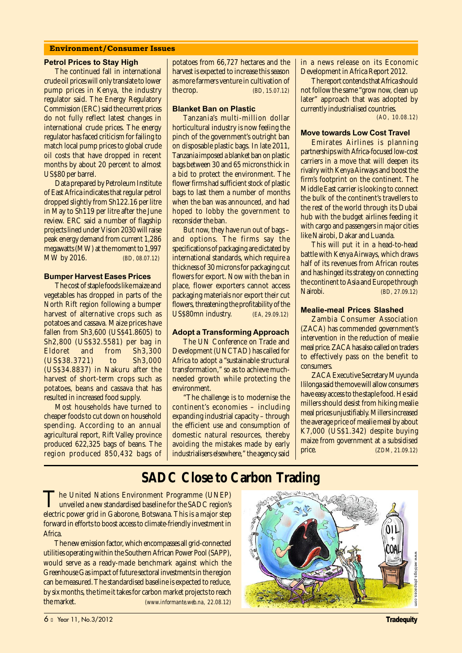#### Environment/Consumer Issues

#### Petrol Prices to Stay High

The continued fall in international crude oil prices will only translate to lower pump prices in Kenya, the industry regulator said. The Energy Regulatory Commission (ERC) said the current prices do not fully reflect latest changes in international crude prices. The energy regulator has faced criticism for failing to match local pump prices to global crude oil costs that have dropped in recent months by about 20 percent to almost US\$80 per barrel.

Data prepared by Petroleum Institute of East Africa indicates that regular petrol dropped slightly from Sh122.16 per litre in May to Sh119 per litre after the June review. ERC said a number of flagship projects lined under Vision 2030 will raise peak energy demand from current 1,286 megawatts (MW) at the moment to 1,997 MW by 2016. *(BD, 08.07.12)*

#### Bumper Harvest Eases Prices

The cost of staple foods like maize and vegetables has dropped in parts of the North Rift region following a bumper harvest of alternative crops such as potatoes and cassava. Maize prices have fallen from Sh3,600 (US\$41.8605) to Sh2,800 (US\$32.5581) per bag in Eldoret and from Sh3,300 (US\$38.3721) to Sh3,000 (US\$34.8837) in Nakuru after the harvest of short-term crops such as potatoes, beans and cassava that has resulted in increased food supply.

Most households have turned to cheaper foods to cut down on household spending. According to an annual agricultural report, Rift Valley province produced 622,325 bags of beans. The region produced 850,432 bags of potatoes from 66,727 hectares and the harvest is expected to increase this season as more farmers venture in cultivation of the crop. *(BD, 15.07.12)*

#### Blanket Ban on Plastic

Tanzania's multi-million dollar horticultural industry is now feeling the pinch of the government's outright ban on disposable plastic bags. In late 2011, Tanzania imposed a blanket ban on plastic bags between 30 and 65 microns thick in a bid to protect the environment. The flower firms had sufficient stock of plastic bags to last them a number of months when the ban was announced, and had hoped to lobby the government to reconsider the ban.

But now, they have run out of bags – and options. The firms say the specifications of packaging are dictated by international standards, which require a thickness of 30 microns for packaging cut flowers for export. Now with the ban in place, flower exporters cannot access packaging materials nor export their cut flowers, threatening the profitability of the US\$80mn industry. *(EA, 29.09.12)*

#### Adopt a Transforming Approach

The UN Conference on Trade and Development (UNCTAD) has called for Africa to adopt a "sustainable structural transformation," so as to achieve muchneeded growth while protecting the environment.

"The challenge is to modernise the continent's economies – including expanding industrial capacity – through the efficient use and consumption of domestic natural resources, thereby avoiding the mistakes made by early industrialisers elsewhere," the agency said in a news release on its Economic Development in Africa Report 2012.

The report contends that Africa should not follow the same "grow now, clean up later" approach that was adopted by currently industrialised countries. *(AO, 10.08.12)*

#### Move towards Low Cost Travel

Emirates Airlines is planning partnerships with Africa-focused low-cost carriers in a move that will deepen its rivalry with Kenya Airways and boost the firm's footprint on the continent. The Middle East carrier is looking to connect the bulk of the continent's travellers to the rest of the world through its Dubai hub with the budget airlines feeding it with cargo and passengers in major cities like Nairobi, Dakar and Luanda.

This will put it in a head-to-head battle with Kenya Airways, which draws half of its revenues from African routes and has hinged its strategy on connecting the continent to Asia and Europe through<br>Nairobi Nairobi. *(BD, 27.09.12)*

#### Mealie-meal Prices Slashed

Zambia Consumer Association (ZACA) has commended government's intervention in the reduction of mealie meal price. ZACA has also called on traders to effectively pass on the benefit to consumers.

ZACA Executive Secretary Muyunda Ililonga said the move will allow consumers have easy access to the staple food. He said millers should desist from hiking mealie meal prices unjustifiably. Millers increased the average price of mealie meal by about K7,000 (US\$1.342) despite buying maize from government at a subsidised price. *(ZDM, 21.09.12)*

## **SADC Close to Carbon Trading**

The United Nations Environment Programme (UNEP)<br>unveiled a new standardised baseline for the SADC region's electric power grid in Gaborone, Botswana. This is a major step forward in efforts to boost access to climate-friendly investment in Africa.

The new emission factor, which encompasses all grid-connected utilities operating within the Southern African Power Pool (SAPP), would serve as a ready-made benchmark against which the Greenhouse Gas impact of future sectoral investments in the region can be measured. The standardised baseline is expected to reduce, by six months, the time it takes for carbon market projects to reach the market. *(www.informante.web.na, 22.08.12)*

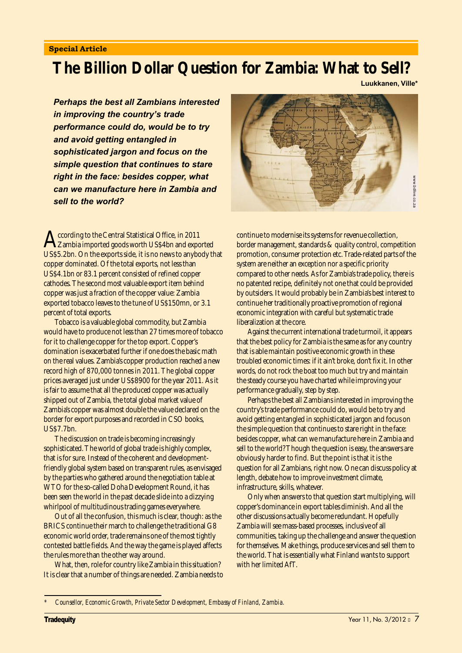#### Special Article

## **The Billion Dollar Question for Zambia: What to Sell?**

Luukkanen, Ville\*

Perhaps the best all Zambians interested in improving the country's trade performance could do, would be to try and avoid getting entangled in sophisticated jargon and focus on the simple question that continues to stare right in the face: besides copper, what can we manufacture here in Zambia and sell to the world?

According to the Central Statistical Office, in 2011<br>Zambia imported goods worth US\$4bn and exported<br>US\$5.9bn . On the smooth side if is no numerous headed US\$5.2bn. On the exports side, it is no news to anybody that copper dominated. Of the total exports, not less than US\$4.1bn or 83.1 percent consisted of refined copper cathodes. The second most valuable export item behind copper was just a fraction of the copper value: Zambia exported tobacco leaves to the tune of US\$150mn, or 3.1 percent of total exports.

Tobacco is a valuable global commodity, but Zambia would have to produce not less than 27 times more of tobacco for it to challenge copper for the top export. Copper's domination is exacerbated further if one does the basic math on the real values. Zambia's copper production reached a new record high of 870,000 tonnes in 2011. The global copper prices averaged just under US\$8900 for the year 2011. As it is fair to assume that all the produced copper was actually shipped out of Zambia, the total global market value of Zambia's copper was almost double the value declared on the border for export purposes and recorded in CSO books, US\$7.7bn.

The discussion on trade is becoming increasingly sophisticated. The world of global trade is highly complex, that is for sure. Instead of the coherent and developmentfriendly global system based on transparent rules, as envisaged by the parties who gathered around the negotiation table at WTO for the so-called Doha Development Round, it has been seen the world in the past decade slide into a dizzying whirlpool of multitudinous trading games everywhere.

Out of all the confusion, this much is clear, though: as the BRICS continue their march to challenge the traditional G8 economic world order, trade remains one of the most tightly contested battle fields. And the way the game is played affects the rules more than the other way around.

What, then, role for country like Zambia in this situation? It is clear that a number of things are needed. Zambia needs to



continue to modernise its systems for revenue collection, border management, standards & quality control, competition promotion, consumer protection etc. Trade-related parts of the system are neither an exception nor a specific priority compared to other needs. As for Zambia's trade policy, there is no patented recipe, definitely not one that could be provided by outsiders. It would probably be in Zambia's best interest to continue her traditionally proactive promotion of regional economic integration with careful but systematic trade liberalization at the core.

Against the current international trade turmoil, it appears that the best policy for Zambia is the same as for any country that is able maintain positive economic growth in these troubled economic times: if it ain't broke, don't fix it. In other words, do not rock the boat too much but try and maintain the steady course you have charted while improving your performance gradually, step by step.

Perhaps the best all Zambians interested in improving the country's trade performance could do, would be to try and avoid getting entangled in sophisticated jargon and focus on the simple question that continues to stare right in the face: besides copper, what can we manufacture here in Zambia and sell to the world? Though the question is easy, the answers are obviously harder to find. But the point is that it is the question for all Zambians, right now. One can discuss policy at length, debate how to improve investment climate, infrastructure, skills, whatever.

Only when answers to that question start multiplying, will copper's dominance in export tables diminish. And all the other discussions actually become redundant. Hopefully Zambia will see mass-based processes, inclusive of all communities, taking up the challenge and answer the question for themselves. Make things, produce services and sell them to the world. That is essentially what Finland wants to support with her limited AfT.

*<sup>\*</sup> Counsellor, Economic Growth, Private Sector Development, Embassy of Finland, Zambia.*